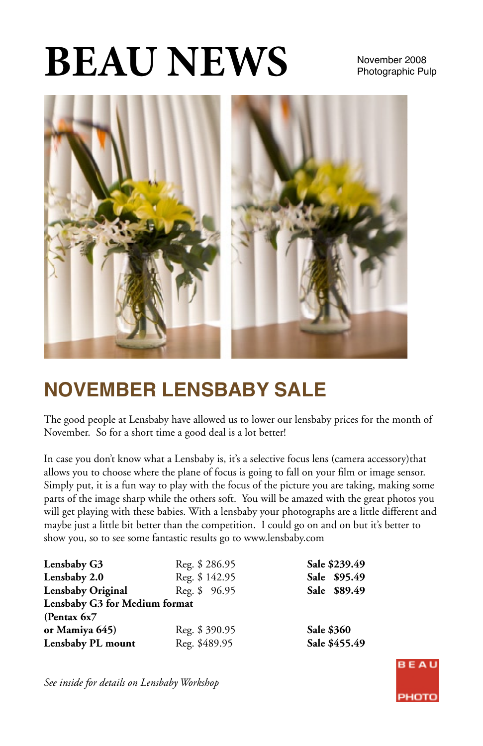# **BEAU NEWS** November 2008

# Photographic Pulp



# **NOVEMBER LENSBABY SALE**

The good people at Lensbaby have allowed us to lower our lensbaby prices for the month of November. So for a short time a good deal is a lot better!

In case you don't know what a Lensbaby is, it's a selective focus lens (camera accessory)that allows you to choose where the plane of focus is going to fall on your film or image sensor. Simply put, it is a fun way to play with the focus of the picture you are taking, making some parts of the image sharp while the others soft. You will be amazed with the great photos you will get playing with these babies. With a lensbaby your photographs are a little different and maybe just a little bit better than the competition. I could go on and on but it's better to show you, so to see some fantastic results go to www.lensbaby.com

| Lensbaby G3                   | Reg. \$286.95 | Sale \$239.49 |
|-------------------------------|---------------|---------------|
| Lensbaby 2.0                  | Reg. \$142.95 | Sale \$95.49  |
| Lensbaby Original             | Reg. \$ 96.95 | Sale \$89.49  |
| Lensbaby G3 for Medium format |               |               |
| (Pentax $6x7$                 |               |               |
| or Mamiya 645)                | Reg. \$390.95 | Sale \$360    |
| Lensbaby PL mount             | Reg. \$489.95 | Sale \$455.49 |

*See inside for details on Lensbaby Workshop*

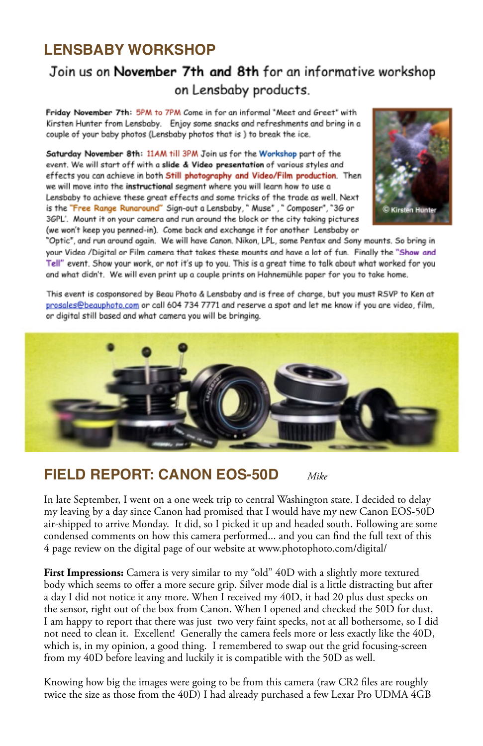#### **LENSBABY WORKSHOP**

#### Join us on November 7th and 8th for an informative workshop on Lensbaby products.

Friday November 7th: 5PM to 7PM Come in for an informal "Meet and Greet" with Kirsten Hunter from Lensbaby. Enjoy some snacks and refreshments and bring in a couple of your baby photos (Lensbaby photos that is ) to break the ice.

Saturday November 8th: 11AM till 3PM Join us for the Workshop part of the event. We will start off with a slide & Video presentation of various styles and effects you can achieve in both Still photography and Video/Film production. Then we will move into the instructional segment where you will learn how to use a Lensbaby to achieve these great effects and some tricks of the trade as well. Next is the "Free Range Runaround" Sign-out a Lensbaby, " Muse", " Composer", "36 or 3GPL'. Mount it on your camera and run around the block or the city taking pictures (we won't keep you penned-in). Come back and exchange it for another Lensbaby or



"Optic", and run around again, We will have Canon, Nikon, LPL, some Pentax and Sony mounts, So bring in your Video /Digital or Film camera that takes these mounts and have a lot of fun. Finally the "Show and Tell" event. Show your work, or not it's up to you. This is a great time to talk about what worked for you and what didn't. We will even print up a couple prints on Hahnemühle paper for you to take home.

This event is cosponsored by Beau Photo & Lensbaby and is free of charge, but you must RSVP to Ken at prosales@beauphoto.com or call 604 734 7771 and reserve a spot and let me know if you are video, film, or digital still based and what camera you will be bringing.



#### **FIELD REPORT: CANON EOS-50D** *Mike*

In late September, I went on a one week trip to central Washington state. I decided to delay my leaving by a day since Canon had promised that I would have my new Canon EOS-50D air-shipped to arrive Monday. It did, so I picked it up and headed south. Following are some condensed comments on how this camera performed... and you can find the full text of this 4 page review on the digital page of our website at www.photophoto.com/digital/

First Impressions: Camera is very similar to my "old" 40D with a slightly more textured body which seems to offer a more secure grip. Silver mode dial is a little distracting but after a day I did not notice it any more. When I received my 40D, it had 20 plus dust specks on the sensor, right out of the box from Canon. When I opened and checked the 50D for dust, I am happy to report that there was just two very faint specks, not at all bothersome, so I did not need to clean it. Excellent! Generally the camera feels more or less exactly like the 40D, which is, in my opinion, a good thing. I remembered to swap out the grid focusing-screen from my 40D before leaving and luckily it is compatible with the 50D as well.

Knowing how big the images were going to be from this camera (raw CR2 files are roughly twice the size as those from the 40D) I had already purchased a few Lexar Pro UDMA 4GB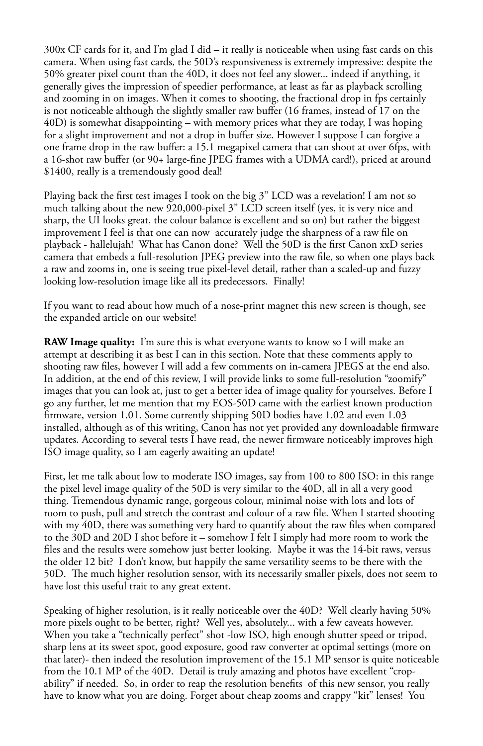300x CF cards for it, and I'm glad I did – it really is noticeable when using fast cards on this camera. When using fast cards, the 50D's responsiveness is extremely impressive: despite the 50% greater pixel count than the 40D, it does not feel any slower... indeed if anything, it generally gives the impression of speedier performance, at least as far as playback scrolling and zooming in on images. When it comes to shooting, the fractional drop in fps certainly is not noticeable although the slightly smaller raw buffer (16 frames, instead of 17 on the 40D) is somewhat disappointing – with memory prices what they are today, I was hoping for a slight improvement and not a drop in buffer size. However I suppose I can forgive a one frame drop in the raw buffer: a 15.1 megapixel camera that can shoot at over 6fps, with a 16-shot raw buffer (or 90+ large-fine JPEG frames with a UDMA card!), priced at around \$1400, really is a tremendously good deal!

Playing back the first test images I took on the big 3" LCD was a revelation! I am not so much talking about the new 920,000-pixel 3" LCD screen itself (yes, it is very nice and sharp, the UI looks great, the colour balance is excellent and so on) but rather the biggest improvement I feel is that one can now accurately judge the sharpness of a raw file on playback - hallelujah! What has Canon done? Well the 50D is the first Canon xxD series camera that embeds a full-resolution JPEG preview into the raw file, so when one plays back a raw and zooms in, one is seeing true pixel-level detail, rather than a scaled-up and fuzzy looking low-resolution image like all its predecessors. Finally!

If you want to read about how much of a nose-print magnet this new screen is though, see the expanded article on our website!

**RAW Image quality:** I'm sure this is what everyone wants to know so I will make an attempt at describing it as best I can in this section. Note that these comments apply to shooting raw files, however I will add a few comments on in-camera JPEGS at the end also. In addition, at the end of this review, I will provide links to some full-resolution "zoomify" images that you can look at, just to get a better idea of image quality for yourselves. Before I go any further, let me mention that my EOS-50D came with the earliest known production firmware, version 1.01. Some currently shipping 50D bodies have 1.02 and even 1.03 installed, although as of this writing, Canon has not yet provided any downloadable firmware updates. According to several tests I have read, the newer firmware noticeably improves high ISO image quality, so I am eagerly awaiting an update!

First, let me talk about low to moderate ISO images, say from 100 to 800 ISO: in this range the pixel level image quality of the 50D is very similar to the 40D, all in all a very good thing. Tremendous dynamic range, gorgeous colour, minimal noise with lots and lots of room to push, pull and stretch the contrast and colour of a raw file. When I started shooting with my 40D, there was something very hard to quantify about the raw files when compared to the 30D and 20D I shot before it – somehow I felt I simply had more room to work the files and the results were somehow just better looking. Maybe it was the 14-bit raws, versus the older 12 bit? I don't know, but happily the same versatility seems to be there with the 50D. The much higher resolution sensor, with its necessarily smaller pixels, does not seem to have lost this useful trait to any great extent.

Speaking of higher resolution, is it really noticeable over the 40D? Well clearly having 50% more pixels ought to be better, right? Well yes, absolutely... with a few caveats however. When you take a "technically perfect" shot -low ISO, high enough shutter speed or tripod, sharp lens at its sweet spot, good exposure, good raw converter at optimal settings (more on that later)- then indeed the resolution improvement of the 15.1 MP sensor is quite noticeable from the 10.1 MP of the 40D. Detail is truly amazing and photos have excellent "cropability" if needed. So, in order to reap the resolution benefits of this new sensor, you really have to know what you are doing. Forget about cheap zooms and crappy "kit" lenses! You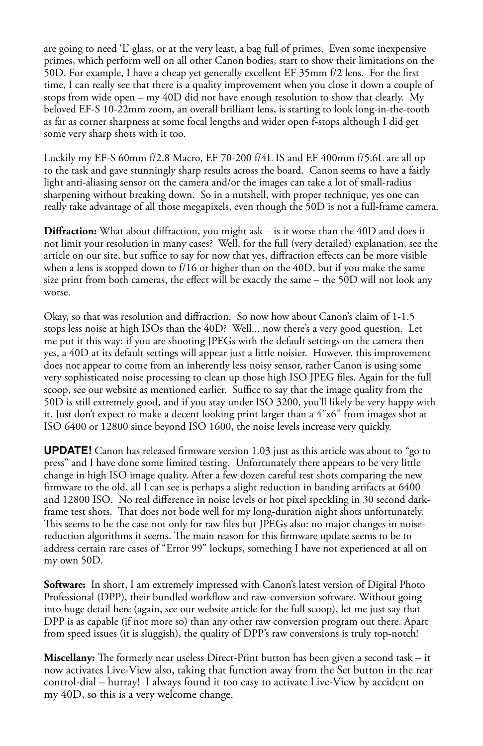are going to need 'L' glass, or at the very least, a bag full of primes. Even some inexpensive primes, which perform well on all other Canon bodies, start to show their limitations on the 50D. For example, I have a cheap yet generally excellent EF 35mm f/2 lens. For the first time, I can really see that there is a quality improvement when you close it down a couple of stops from wide open – my 40D did not have enough resolution to show that clearly. My beloved EF-S 10-22mm zoom, an overall brilliant lens, is starting to look long-in-the-tooth as far as corner sharpness at some focal lengths and wider open f-stops although I did get some very sharp shots with it too.

Luckily my EF-S 60mm f/2.8 Macro, EF 70-200 f/4L IS and EF 400mm f/5.6L are all up to the task and gave stunningly sharp results across the board. Canon seems to have a fairly light anti-aliasing sensor on the camera and/or the images can take a lot of small-radius sharpening without breaking down. So in a nutshell, with proper technique, yes one can really take advantage of all those megapixels, even though the 50D is not a full-frame camera.

**Diffraction:** What about diffraction, you might ask – is it worse than the 40D and does it not limit your resolution in many cases? Well, for the full (very detailed) explanation, see the article on our site, but suffice to say for now that yes, diffraction effects can be more visible when a lens is stopped down to f/16 or higher than on the 40D, but if you make the same size print from both cameras, the effect will be exactly the same – the 50D will not look any worse.

Okay, so that was resolution and diffraction. So now how about Canon's claim of 1-1.5 stops less noise at high ISOs than the 40D? Well... now there's a very good question. Let me put it this way: if you are shooting JPEGs with the default settings on the camera then yes, a 40D at its default settings will appear just a little noisier. However, this improvement does not appear to come from an inherently less noisy sensor, rather Canon is using some very sophisticated noise processing to clean up those high ISO JPEG files. Again for the full scoop, see our website as mentioned earlier. Suffice to say that the image quality from the 50D is still extremely good, and if you stay under ISO 3200, you'll likely be very happy with it. Just don't expect to make a decent looking print larger than a 4"x6" from images shot at ISO 6400 or 12800 since beyond ISO 1600, the noise levels increase very quickly.

**UPDATE!** Canon has released firmware version 1.03 just as this article was about to "go to press" and I have done some limited testing. Unfortunately there appears to be very little change in high ISO image quality. After a few dozen careful test shots comparing the new firmware to the old, all I can see is perhaps a slight reduction in banding artifacts at 6400 and 12800 ISO. No real difference in noise levels or hot pixel speckling in 30 second darkframe test shots. That does not bode well for my long-duration night shots unfortunately. This seems to be the case not only for raw files but JPEGs also: no major changes in noisereduction algorithms it seems. The main reason for this firmware update seems to be to address certain rare cases of "Error 99" lockups, something I have not experienced at all on my own 50D.

**Software:** In short, I am extremely impressed with Canon's latest version of Digital Photo Professional (DPP), their bundled workflow and raw-conversion software. Without going into huge detail here (again, see our website article for the full scoop), let me just say that DPP is as capable (if not more so) than any other raw conversion program out there. Apart from speed issues (it is sluggish), the quality of DPP's raw conversions is truly top-notch!

**Miscellany:** The formerly near useless Direct-Print button has been given a second task – it now activates Live-View also, taking that function away from the Set button in the rear control-dial – hurray! I always found it too easy to activate Live-View by accident on my 40D, so this is a very welcome change.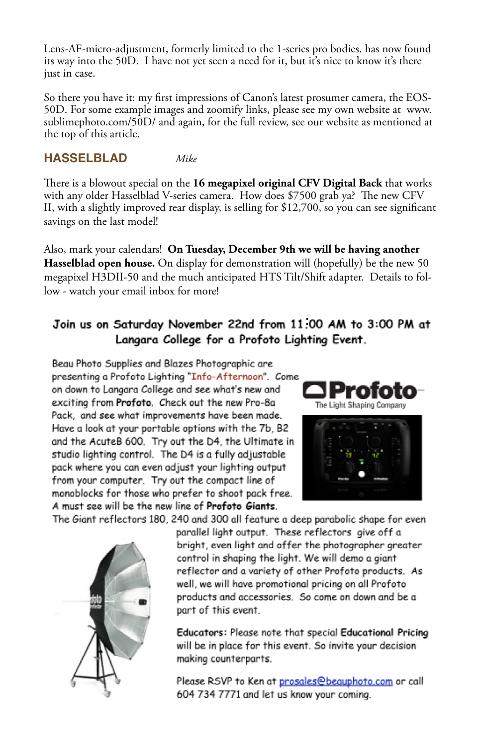Lens-AF-micro-adjustment, formerly limited to the 1-series pro bodies, has now found its way into the 50D. I have not yet seen a need for it, but it's nice to know it's there just in case.

So there you have it: my first impressions of Canon's latest prosumer camera, the EOS-50D. For some example images and zoomify links, please see my own website at www. sublimephoto.com/50D/ and again, for the full review, see our website as mentioned at the top of this article.

#### **HASSELBLAD** *Mike*

There is a blowout special on the **16 megapixel original CFV Digital Back** that works with any older Hasselblad V-series camera. How does \$7500 grab ya? The new CFV II, with a slightly improved rear display, is selling for \$12,700, so you can see significant savings on the last model!

Also, mark your calendars! **On Tuesday, December 9th we will be having another Hasselblad open house.** On display for demonstration will (hopefully) be the new 50 megapixel H3DII-50 and the much anticipated HTS Tilt/Shift adapter. Details to follow - watch your email inbox for more!

#### Join us on Saturday November 22nd from 11.00 AM to 3:00 PM at Langara College for a Profoto Lighting Event.

Beau Photo Supplies and Blazes Photographic are presenting a Profoto Lighting "Info-Afternoon". Come on down to Langara College and see what's new and exciting from Profoto. Check out the new Pro-8a Pack, and see what improvements have been made. Have a look at your portable options with the 7b, B2 and the AcuteB 600. Try out the D4, the Ultimate in studio lighting control. The D4 is a fully adjustable pack where you can even adjust your lighting output from your computer. Try out the compact line of monoblocks for those who prefer to shoot pack free. A must see will be the new line of Profoto Giants.





The Giant reflectors 180, 240 and 300 all feature a deep parabolic shape for even



parallel light output. These reflectors give off a bright, even light and offer the photographer greater control in shaping the light. We will demo a giant reflector and a variety of other Profoto products. As well, we will have promotional pricing on all Profoto products and accessories. So come on down and be a part of this event.

Educators: Please note that special Educational Pricing will be in place for this event. So invite your decision making counterparts.

Please RSVP to Ken at prosales@beauphoto.com or call 604 734 7771 and let us know your coming.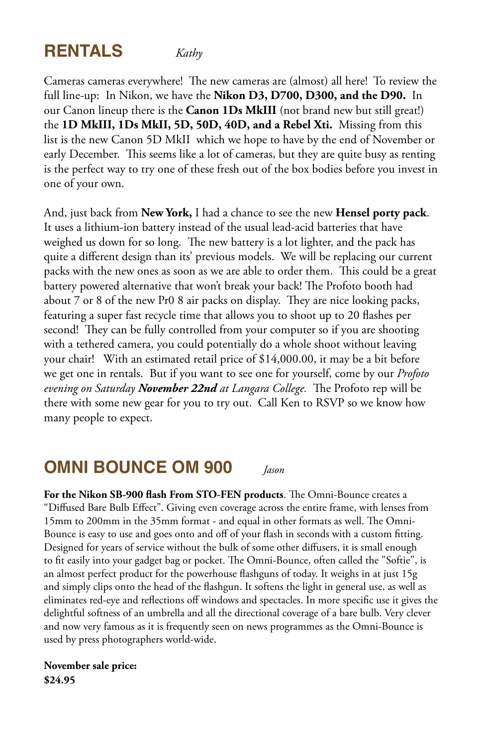## **RENTALS** *Kathy*

Cameras cameras everywhere! The new cameras are (almost) all here! To review the full line-up: In Nikon, we have the **Nikon D3, D700, D300, and the D90.** In our Canon lineup there is the **Canon 1Ds MkIII** (not brand new but still great!) the **1D MkIII, 1Ds MkII, 5D, 50D, 40D, and a Rebel Xti.** Missing from this list is the new Canon 5D MkII which we hope to have by the end of November or early December. This seems like a lot of cameras, but they are quite busy as renting is the perfect way to try one of these fresh out of the box bodies before you invest in one of your own.

And, just back from **New York,** I had a chance to see the new **Hensel porty pack**. It uses a lithium-ion battery instead of the usual lead-acid batteries that have weighed us down for so long. The new battery is a lot lighter, and the pack has quite a different design than its' previous models. We will be replacing our current packs with the new ones as soon as we are able to order them. This could be a great battery powered alternative that won't break your back! The Profoto booth had about 7 or 8 of the new Pr0 8 air packs on display. They are nice looking packs, featuring a super fast recycle time that allows you to shoot up to 20 flashes per second! They can be fully controlled from your computer so if you are shooting with a tethered camera, you could potentially do a whole shoot without leaving your chair! With an estimated retail price of \$14,000.00, it may be a bit before we get one in rentals. But if you want to see one for yourself, come by our *Profoto evening on Saturday November 22nd at Langara College.* The Profoto rep will be there with some new gear for you to try out. Call Ken to RSVP so we know how many people to expect.

### **OMNI BOUNCE OM 900** *Jason*

**For the Nikon SB-900 flash From STO-FEN products**. The Omni-Bounce creates a "Diffused Bare Bulb Effect". Giving even coverage across the entire frame, with lenses from 15mm to 200mm in the 35mm format - and equal in other formats as well. The Omni-Bounce is easy to use and goes onto and off of your flash in seconds with a custom fitting. Designed for years of service without the bulk of some other diffusers, it is small enough to fit easily into your gadget bag or pocket. The Omni-Bounce, often called the "Softie", is an almost perfect product for the powerhouse flashguns of today. It weighs in at just 15g and simply clips onto the head of the flashgun. It softens the light in general use, as well as eliminates red-eye and reflections off windows and spectacles. In more specific use it gives the delightful softness of an umbrella and all the directional coverage of a bare bulb. Very clever and now very famous as it is frequently seen on news programmes as the Omni-Bounce is used by press photographers world-wide.

**November sale price: \$24.95**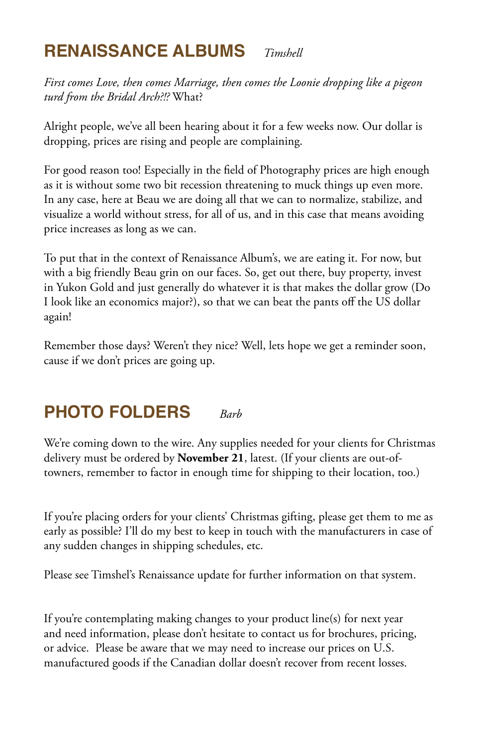## **RENAISSANCE ALBUMS** *Timshell*

*First comes Love, then comes Marriage, then comes the Loonie dropping like a pigeon turd from the Bridal Arch?!?* What?

Alright people, we've all been hearing about it for a few weeks now. Our dollar is dropping, prices are rising and people are complaining.

For good reason too! Especially in the field of Photography prices are high enough as it is without some two bit recession threatening to muck things up even more. In any case, here at Beau we are doing all that we can to normalize, stabilize, and visualize a world without stress, for all of us, and in this case that means avoiding price increases as long as we can.

To put that in the context of Renaissance Album's, we are eating it. For now, but with a big friendly Beau grin on our faces. So, get out there, buy property, invest in Yukon Gold and just generally do whatever it is that makes the dollar grow (Do I look like an economics major?), so that we can beat the pants off the US dollar again!

Remember those days? Weren't they nice? Well, lets hope we get a reminder soon, cause if we don't prices are going up.

## **PHOTO FOLDERS** *Barb*

We're coming down to the wire. Any supplies needed for your clients for Christmas delivery must be ordered by **November 21**, latest. (If your clients are out-oftowners, remember to factor in enough time for shipping to their location, too.)

If you're placing orders for your clients' Christmas gifting, please get them to me as early as possible? I'll do my best to keep in touch with the manufacturers in case of any sudden changes in shipping schedules, etc.

Please see Timshel's Renaissance update for further information on that system.

If you're contemplating making changes to your product line(s) for next year and need information, please don't hesitate to contact us for brochures, pricing, or advice. Please be aware that we may need to increase our prices on U.S. manufactured goods if the Canadian dollar doesn't recover from recent losses.